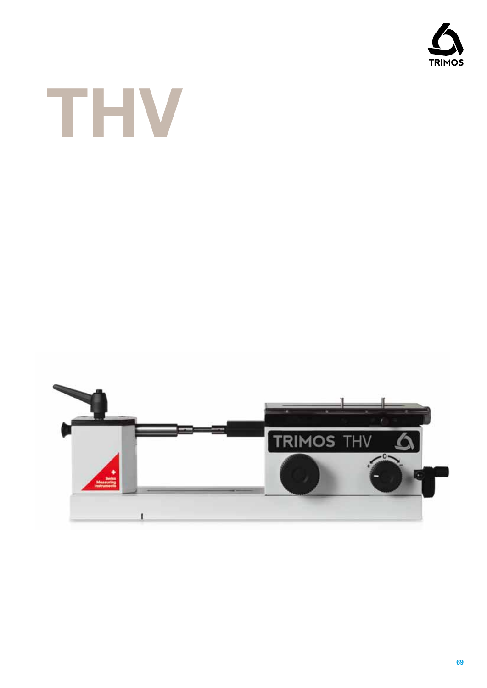



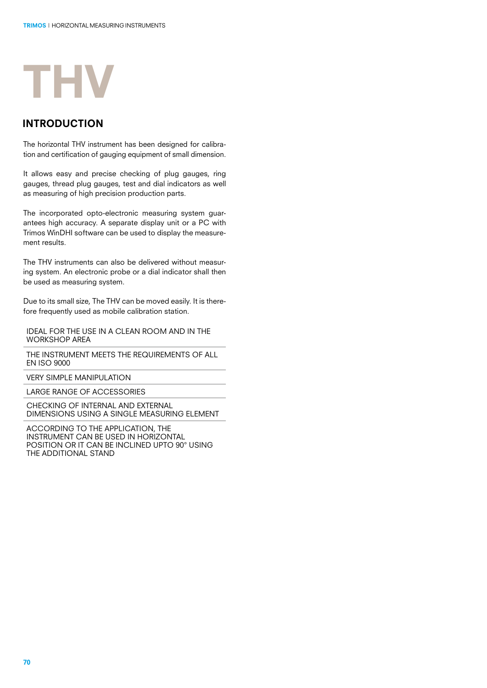

### introduction

The horizontal THV instrument has been designed for calibration and certification of gauging equipment of small dimension.

It allows easy and precise checking of plug gauges, ring gauges, thread plug gauges, test and dial indicators as well as measuring of high precision production parts.

The incorporated opto-electronic measuring system guarantees high accuracy. A separate display unit or a PC with Trimos WinDHI software can be used to display the measurement results.

The THV instruments can also be delivered without measuring system. An electronic probe or a dial indicator shall then be used as measuring system.

Due to its small size, The THV can be moved easily. It is therefore frequently used as mobile calibration station.

IDEAL FOR THE USE IN A CLEAN ROOM AND IN THE WORKSHOP AREA

THE INSTRUMENT MEETS THE REQUIREMENTS OF ALL EN ISO 9000

VERY SIMPLE MANIPULATION

LARGE RANGE OF ACCESSORIES

CHECKING OF INTERNAL AND EXTERNAL DIMENSIONS USING A SINGLE MEASURING ELEMENT

ACCORDING TO THE APPLICATION, THE INSTRUMENT CAN BE USED IN HORIZONTAL POSITION OR IT CAN BE INCLINED UPTO 90° USING THE ADDITIONAL STAND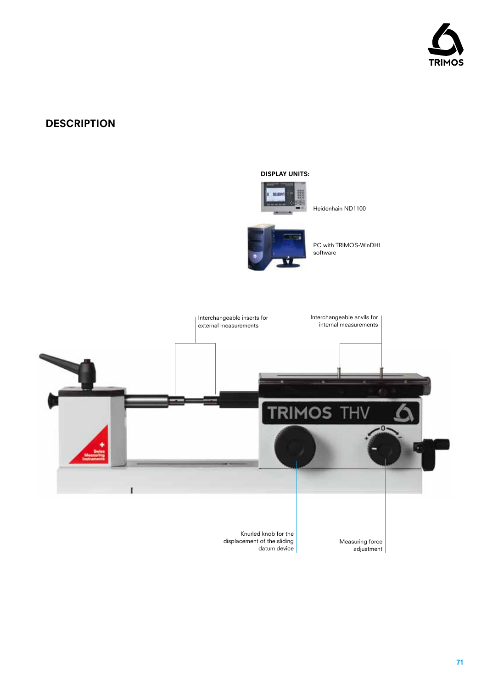

# **DESCRIPTION**

#### DISPLAY UNITS:



Heidenhain ND1100



PC with TRIMOS-WinDHI software



displacement of the sliding datum device

Measuring force adjustment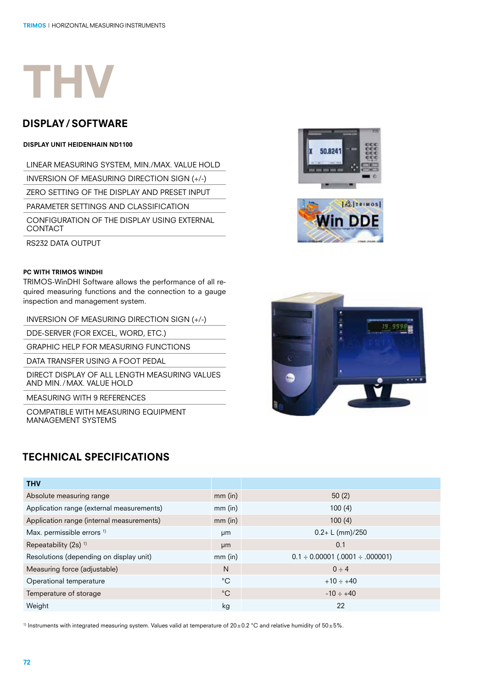

## display/ software

#### Display unit Heidenhain ND1100

LINEAR MEASURING SYSTEM, MIN./MAX. VALUE HOLD inversion of measuring direction sign (+/-) ZERO SETTING OF THE DISPLAY AND PRESET INPUT PARAMETER SETTINGS AND CLASSIFICATION CONFIGURATION OF THE DISPLAY USING EXTERNAL CONTACT

RS232 DATA OUTPUT

#### PC with TRIMOS WinDHI

TRIMOS-WinDHI Software allows the performance of all required measuring functions and the connection to a gauge inspection and management system.

INVERSION OF MEASURING DIRECTION SIGN (+/-)

DDE-SERVER (FOR EXCEL, WORD, ETC.)

GRAPHIC HELP FOR MEASURING FUNCTIONS

DATA TRANSFER USING A FOOT PEDAL

DIRECT DISPLAY OF ALL LENGTH MEASURING VALUES AND MIN./MAX. VALUE HOLD

MEASURING WITH 9 REFERENCES

COMPATIBLE WITH MEASURING EQUIPMENT MANAGEMENT SYSTEMS

## TECHNICAL SPECIFICATIONS







| <b>THV</b>                                |             |                                            |
|-------------------------------------------|-------------|--------------------------------------------|
| Absolute measuring range                  | $mm$ (in)   | 50(2)                                      |
| Application range (external measurements) | $mm$ (in)   | 100(4)                                     |
| Application range (internal measurements) | $mm$ (in)   | 100(4)                                     |
| Max. permissible errors <sup>1)</sup>     | µm          | $0.2 + L$ (mm)/250                         |
| Repeatability (2s) <sup>1)</sup>          | µm          | 0.1                                        |
| Resolutions (depending on display unit)   | $mm$ (in)   | $0.1 \div 0.00001$ (.0001 $\div .000001$ ) |
| Measuring force (adjustable)              | N           | $0 \div 4$                                 |
| Operational temperature                   | $^{\circ}C$ | $+10 \div +40$                             |
| Temperature of storage                    | $^{\circ}C$ | $-10 \div +40$                             |
| Weight                                    | kg          | 22                                         |

<sup>1)</sup> Instruments with integrated measuring system. Values valid at temperature of 20±0.2 °C and relative humidity of 50±5%.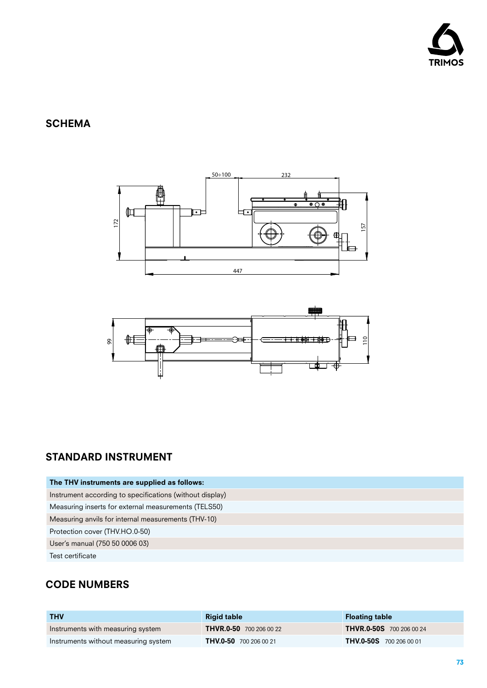

# **SCHEMA**





# STANDARD INSTRUMENT

| The THV instruments are supplied as follows:             |
|----------------------------------------------------------|
| Instrument according to specifications (without display) |
| Measuring inserts for external measurements (TELS50)     |
| Measuring anvils for internal measurements (THV-10)      |
| Protection cover (THV.HO.0-50)                           |
| User's manual (750 50 0006 03)                           |
| Test certificate                                         |

# CODE NUMBERS

| <b>THV</b>                           | <b>Rigid table</b>             | <b>Floating table</b>           |
|--------------------------------------|--------------------------------|---------------------------------|
| Instruments with measuring system    | <b>THVR.0-50</b> 700 206 00 22 | <b>THVR.0-50S</b> 700 206 00 24 |
| Instruments without measuring system | <b>THV.0-50</b> 700 206 00 21  | <b>THV.0-50S</b> 700 206 00 01  |